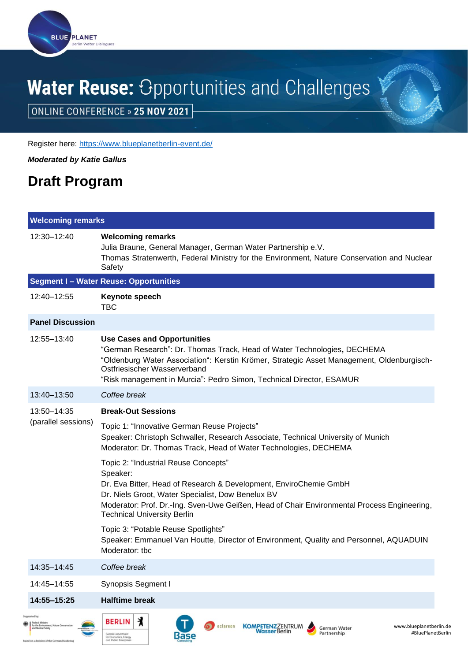

## Water Reuse: Opportunities and Challenges

ONLINE CONFERENCE » 25 NOV 2021

Register here:<https://www.blueplanetberlin-event.de/>

*Moderated by Katie Gallus*

## **Draft Program**

| <b>Welcoming remarks</b>                                                                                                          |                                                                                                                                                                                                                                                                                                                     |
|-----------------------------------------------------------------------------------------------------------------------------------|---------------------------------------------------------------------------------------------------------------------------------------------------------------------------------------------------------------------------------------------------------------------------------------------------------------------|
| 12:30-12:40                                                                                                                       | <b>Welcoming remarks</b><br>Julia Braune, General Manager, German Water Partnership e.V.<br>Thomas Stratenwerth, Federal Ministry for the Environment, Nature Conservation and Nuclear<br>Safety                                                                                                                    |
|                                                                                                                                   | <b>Segment I - Water Reuse: Opportunities</b>                                                                                                                                                                                                                                                                       |
| 12:40-12:55                                                                                                                       | Keynote speech<br><b>TBC</b>                                                                                                                                                                                                                                                                                        |
| <b>Panel Discussion</b>                                                                                                           |                                                                                                                                                                                                                                                                                                                     |
| 12:55-13:40                                                                                                                       | <b>Use Cases and Opportunities</b><br>"German Research": Dr. Thomas Track, Head of Water Technologies, DECHEMA<br>"Oldenburg Water Association": Kerstin Krömer, Strategic Asset Management, Oldenburgisch-<br>Ostfriesischer Wasserverband<br>"Risk management in Murcia": Pedro Simon, Technical Director, ESAMUR |
| 13:40-13:50                                                                                                                       | Coffee break                                                                                                                                                                                                                                                                                                        |
| 13:50-14:35<br>(parallel sessions)                                                                                                | <b>Break-Out Sessions</b>                                                                                                                                                                                                                                                                                           |
|                                                                                                                                   | Topic 1: "Innovative German Reuse Projects"<br>Speaker: Christoph Schwaller, Research Associate, Technical University of Munich<br>Moderator: Dr. Thomas Track, Head of Water Technologies, DECHEMA                                                                                                                 |
|                                                                                                                                   | Topic 2: "Industrial Reuse Concepts"<br>Speaker:<br>Dr. Eva Bitter, Head of Research & Development, EnviroChemie GmbH<br>Dr. Niels Groot, Water Specialist, Dow Benelux BV<br>Moderator: Prof. Dr.-Ing. Sven-Uwe Geißen, Head of Chair Environmental Process Engineering,<br><b>Technical University Berlin</b>     |
|                                                                                                                                   | Topic 3: "Potable Reuse Spotlights"<br>Speaker: Emmanuel Van Houtte, Director of Environment, Quality and Personnel, AQUADUIN<br>Moderator: tbc                                                                                                                                                                     |
| 14:35-14:45                                                                                                                       | Coffee break                                                                                                                                                                                                                                                                                                        |
| 14:45-14:55                                                                                                                       | <b>Synopsis Segment I</b>                                                                                                                                                                                                                                                                                           |
| 14:55-15:25                                                                                                                       | <b>Halftime break</b>                                                                                                                                                                                                                                                                                               |
| ederal Ministry<br>for the Environme<br>nt, Nature Conservation<br>and Nuclear Safety<br>ed on a decision of the German Bundestag | 丬<br><b>BERLIN</b><br>KOMPETENZZENTRUM<br>Wasser Berlin<br>eclareon<br>www.blueplanetberlin.de<br>German Water<br>#BluePlanetBerlin<br>Partnership<br>Senate Departmen<br>Base<br>for Economics, Energy<br>and Public Enterprises                                                                                   |